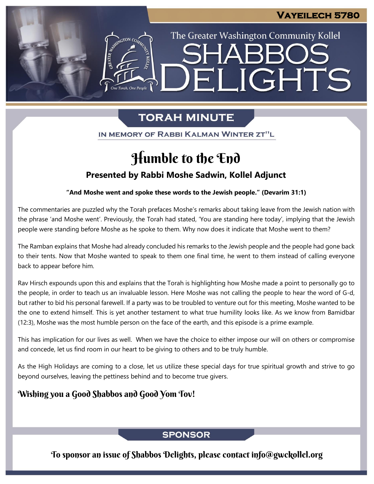# The Greater Washington Community Kollel ELIGHTS

# **TORAH MINUTE**

IN MEMORY OF RABBI KALMAN WINTER ZT"L

# Humble to the End

# **Presented by Rabbi Moshe Sadwin, Kollel Adjunct**

## **"And Moshe went and spoke these words to the Jewish people." (Devarim 31:1)**

The commentaries are puzzled why the Torah prefaces Moshe's remarks about taking leave from the Jewish nation with the phrase 'and Moshe went'. Previously, the Torah had stated, 'You are standing here today', implying that the Jewish people were standing before Moshe as he spoke to them. Why now does it indicate that Moshe went to them?

The Ramban explains that Moshe had already concluded his remarks to the Jewish people and the people had gone back to their tents. Now that Moshe wanted to speak to them one final time, he went to them instead of calling everyone back to appear before him.

Rav Hirsch expounds upon this and explains that the Torah is highlighting how Moshe made a point to personally go to the people, in order to teach us an invaluable lesson. Here Moshe was not calling the people to hear the word of G-d, but rather to bid his personal farewell. If a party was to be troubled to venture out for this meeting, Moshe wanted to be the one to extend himself. This is yet another testament to what true humility looks like. As we know from Bamidbar (12:3), Moshe was the most humble person on the face of the earth, and this episode is a prime example.

This has implication for our lives as well. When we have the choice to either impose our will on others or compromise and concede, let us find room in our heart to be giving to others and to be truly humble.

As the High Holidays are coming to a close, let us utilize these special days for true spiritual growth and strive to go beyond ourselves, leaving the pettiness behind and to become true givers.

# Wishing you a Good Shabbos and Good Yom Tov!

# **SPONSOR**

To sponsor an issue of Shabbos Delights, please contact info@gwckollel.org